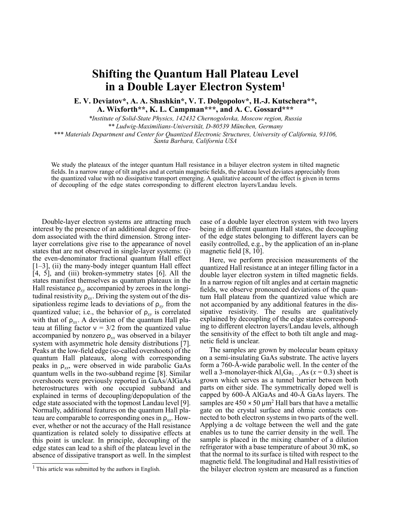## **Shifting the Quantum Hall Plateau Level in a Double Layer Electron System<sup>1</sup>**

**E. V. Deviatov\*, A. A. Shashkin\*, V. T. Dolgopolov\*, H.-J. Kutschera\*\*, A. Wixforth\*\*, K. L. Campman\*\*\*, and A. C. Gossard\*\*\***

*\*Institute of Solid-State Physics, 142432 Chernogolovka, Moscow region, Russia \*\* Ludwig-Maximilians-Universität, D-80539 München, Germany \*\*\* Materials Department and Center for Quantized Electronic Structures, University of California, 93106,*

*Santa Barbara, California USA*

We study the plateaux of the integer quantum Hall resistance in a bilayer electron system in tilted magnetic fields. In a narrow range of tilt angles and at certain magnetic fields, the plateau level deviates appreciably from the quantized value with no dissipative transport emerging. A qualitative account of the effect is given in terms of decoupling of the edge states corresponding to different electron layers/Landau levels.

<sup>1</sup> Double-layer electron systems are attracting much interest by the presence of an additional degree of freedom associated with the third dimension. Strong interlayer correlations give rise to the appearance of novel states that are not observed in single-layer systems: (i) the even-denominator fractional quantum Hall effect  $[1-3]$ , (ii) the many-body integer quantum Hall effect [4, 5], and (iii) broken-symmetry states [6]. All the states manifest themselves as quantum plateaux in the Hall resistance  $\rho_{xy}$  accompanied by zeroes in the longitudinal resistivity  $\rho_{xx}$ . Driving the system out of the dissipationless regime leads to deviations of  $\rho_{xy}$  from the quantized value; i.e., the behavior of  $\rho_{xy}$  is correlated with that of  $\rho_{xx}$ . A deviation of the quantum Hall plateau at filling factor  $v = 3/2$  from the quantized value accompanied by nonzero  $\rho_{xx}$  was observed in a bilayer system with asymmetric hole density distributions [7]. Peaks at the low-field edge (so-called overshoots) of the quantum Hall plateaux, along with corresponding peaks in ρ*xx* , were observed in wide parabolic GaAs quantum wells in the two-subband regime [8]. Similar overshoots were previously reported in GaAs/AlGaAs heterostructures with one occupied subband and explained in terms of decoupling/depopulation of the edge state associated with the topmost Landau level [9]. Normally, additional features on the quantum Hall plateau are comparable to corresponding ones in ρ*xx* . However, whether or not the accuracy of the Hall resistance quantization is related solely to dissipative effects at this point is unclear. In principle, decoupling of the edge states can lead to a shift of the plateau level in the absence of dissipative transport as well. In the simplest case of a double layer electron system with two layers being in different quantum Hall states, the decoupling of the edge states belonging to different layers can be easily controlled, e.g., by the application of an in-plane magnetic field [8, 10].

Here, we perform precision measurements of the quantized Hall resistance at an integer filling factor in a double layer electron system in tilted magnetic fields. In a narrow region of tilt angles and at certain magnetic fields, we observe pronounced deviations of the quantum Hall plateau from the quantized value which are not accompanied by any additional features in the dissipative resistivity. The results are qualitatively explained by decoupling of the edge states corresponding to different electron layers/Landau levels, although the sensitivity of the effect to both tilt angle and magnetic field is unclear.

The samples are grown by molecular beam epitaxy on a semi-insulating GaAs substrate. The active layers form a 760-Å-wide parabolic well. In the center of the well a 3-monolayer-thick  $Al_xGa_{1-x}As$  ( $x = 0.3$ ) sheet is grown which serves as a tunnel barrier between both parts on either side. The symmetrically doped well is capped by 600-Å AlGaAs and 40-Å GaAs layers. The samples are  $450 \times 50 \mu m^2$  Hall bars that have a metallic gate on the crystal surface and ohmic contacts connected to both electron systems in two parts of the well. Applying a dc voltage between the well and the gate enables us to tune the carrier density in the well. The sample is placed in the mixing chamber of a dilution refrigerator with a base temperature of about 30 mK, so that the normal to its surface is tilted with respect to the magnetic field. The longitudinal and Hall resistivities of the bilayer electron system are measured as a function

 $<sup>1</sup>$  This article was submitted by the authors in English.</sup>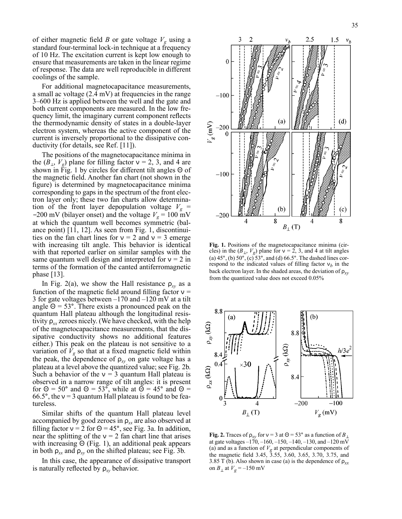of either magnetic field *B* or gate voltage  $V_g$  using a standard four-terminal lock-in technique at a frequency of 10 Hz. The excitation current is kept low enough to ensure that measurements are taken in the linear regime of response. The data are well reproducible in different coolings of the sample.

For additional magnetocapacitance measurements, a small ac voltage (2.4 mV) at frequencies in the range 3–600 Hz is applied between the well and the gate and both current components are measured. In the low frequency limit, the imaginary current component reflects the thermodynamic density of states in a double-layer electron system, whereas the active component of the current is inversely proportional to the dissipative conductivity (for details, see Ref. [11]).

The positions of the magnetocapacitance minima in the  $(B_{\perp}, V_g)$  plane for filling factor  $v = 2, 3$ , and 4 are shown in Fig. 1 by circles for different tilt angles Θ of the magnetic field. Another fan chart (not shown in the figure) is determined by magnetocapacitance minima corresponding to gaps in the spectrum of the front electron layer only; these two fan charts allow determination of the front layer depopulation voltage  $V_g$  = −200 mV (bilayer onset) and the voltage  $V_g = 100$  mV at which the quantum well becomes symmetric (balance point) [11, 12]. As seen from Fig. 1, discontinuities on the fan chart lines for  $v = 2$  and  $v = 3$  emerge with increasing tilt angle. This behavior is identical with that reported earlier on similar samples with the same quantum well design and interpreted for  $v = 2$  in terms of the formation of the canted antiferromagnetic phase [13].

In Fig. 2(a), we show the Hall resistance  $\rho_{xy}$  as a function of the magnetic field around filling factor  $v =$ 3 for gate voltages between –170 and –120 mV at a tilt angle  $\Theta = 53^{\circ}$ . There exists a pronounced peak on the quantum Hall plateau although the longitudinal resistivity  $\rho_{xx}$  zeroes nicely. (We have checked, with the help of the magnetocapacitance measurements, that the dissipative conductivity shows no additional features either.) This peak on the plateau is not sensitive to a variation of  $\bar{V}_g$  so that at a fixed magnetic field within the peak, the dependence of  $\rho_{xy}$  on gate voltage has a plateau at a level above the quantized value; see Fig. 2b. Such a behavior of the  $v = 3$  quantum Hall plateau is observed in a narrow range of tilt angles: it is present for  $\Theta = 50^{\circ}$  and  $\Theta = 53^{\circ}$ , while at  $\Theta = 45^{\circ}$  and  $\Theta =$ 66.5°, the  $v = 3$  quantum Hall plateau is found to be featureless.

Similar shifts of the quantum Hall plateau level accompanied by good zeroes in ρ*xx* are also observed at filling factor  $v = 2$  for  $\Theta = 45^\circ$ , see Fig. 3a. In addition, near the splitting of the  $v = 2$  fan chart line that arises with increasing  $\Theta$  (Fig. 1), an additional peak appears in both  $\rho_{xx}$  and  $\rho_{xy}$  on the shifted plateau; see Fig. 3b.

In this case, the appearance of dissipative transport is naturally reflected by ρ*xy* behavior.



**Fig. 1.** Positions of the magnetocapacitance minima (circles) in the  $(B_{\perp}, V_g)$  plane for  $v = 2, 3$ , and 4 at tilt angles (a)  $45^\circ$ , (b)  $50^\circ$ , (c)  $53^\circ$ , and (d)  $66.5^\circ$ . The dashed lines correspond to the indicated values of filling factor  $v_b$  in the back electron layer. In the shaded areas, the deviation of ρ*xy* from the quantized value does not exceed 0.05%



**Fig. 2.** Traces of  $\rho_{xy}$  for  $v = 3$  at  $\Theta = 53^\circ$  as a function of  $B_\perp$ at gate voltages  $-170$ ,  $-160$ ,  $-150$ ,  $-140$ ,  $-130$ , and  $-120$  mV (a) and as a function of  $V_g$  at perpendicular components of the magnetic field 3.45, 3.55, 3.60, 3.65, 3.70, 3.75, and 3.85 T (b). Also shown in case (a) is the dependence of  $\rho_{xx}$ on  $B_\perp$  at  $V_g = -150$  mV